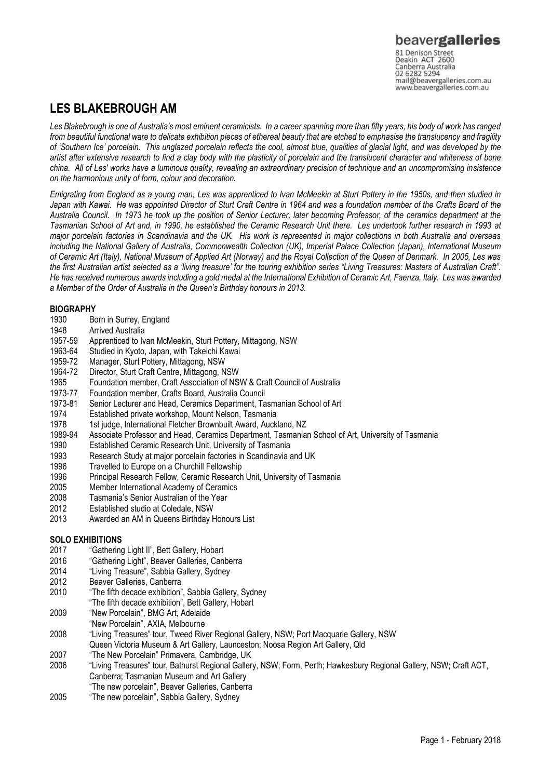www.beavergalleries.com.au

## **LES BLAKEBROUGH AM**

*Les Blakebrough is one of Australia's most eminent ceramicists. In a career spanning more than fifty years, his body of work has ranged from beautiful functional ware to delicate exhibition pieces of ethereal beauty that are etched to emphasise the translucency and fragility of 'Southern Ice' porcelain. This unglazed porcelain reflects the cool, almost blue, qualities of glacial light, and was developed by the artist after extensive research to find a clay body with the plasticity of porcelain and the translucent character and whiteness of bone china. All of Les' works have a luminous quality, revealing an extraordinary precision of technique and an uncompromising insistence on the harmonious unity of form, colour and decoration.*

*Emigrating from England as a young man, Les was apprenticed to Ivan McMeekin at Sturt Pottery in the 1950s, and then studied in Japan with Kawai. He was appointed Director of Sturt Craft Centre in 1964 and was a foundation member of the Crafts Board of the Australia Council. In 1973 he took up the position of Senior Lecturer, later becoming Professor, of the ceramics department at the Tasmanian School of Art and, in 1990, he established the Ceramic Research Unit there. Les undertook further research in 1993 at major porcelain factories in Scandinavia and the UK. His work is represented in major collections in both Australia and overseas including the National Gallery of Australia, Commonwealth Collection (UK), Imperial Palace Collection (Japan), International Museum of Ceramic Art (Italy), National Museum of Applied Art (Norway) and the Royal Collection of the Queen of Denmark. In 2005, Les was the first Australian artist selected as a 'living treasure' for the touring exhibition series "Living Treasures: Masters of Australian Craft". He has received numerous awards including a gold medal at the International Exhibition of Ceramic Art, Faenza, Italy. Les was awarded a Member of the Order of Australia in the Queen's Birthday honours in 2013.* 

- **BIOGRAPHY**<br>1930 Bo Born in Surrey, England
- 1948 Arrived Australia
- 1957-59 Apprenticed to Ivan McMeekin, Sturt Pottery, Mittagong, NSW
- 1963-64 Studied in Kyoto, Japan, with Takeichi Kawai
- 1959-72 Manager, Sturt Pottery, Mittagong, NSW
- 1964-72 Director, Sturt Craft Centre, Mittagong, NSW
- 1965 Foundation member, Craft Association of NSW & Craft Council of Australia
- 1973-77 Foundation member, Crafts Board, Australia Council
- Senior Lecturer and Head, Ceramics Department, Tasmanian School of Art
- 1974 Established private workshop, Mount Nelson, Tasmania
- 1978 1st judge, International Fletcher Brownbuilt Award, Auckland, NZ
- 1989-94 Associate Professor and Head, Ceramics Department, Tasmanian School of Art, University of Tasmania
- 1990 Established Ceramic Research Unit, University of Tasmania
- 1993 Research Study at major porcelain factories in Scandinavia and UK
- 1996 Travelled to Europe on a Churchill Fellowship<br>1996 Principal Research Fellow. Ceramic Research
- 1996 Principal Research Fellow, Ceramic Research Unit, University of Tasmania<br>2005 Member International Academy of Ceramics
- 2005 Member International Academy of Ceramics<br>2008 Tasmania's Senior Australian of the Year
- Tasmania's Senior Australian of the Year
- 2012 Established studio at Coledale, NSW
- 2013 Awarded an AM in Queens Birthday Honours List

#### **SOLO EXHIBITIONS**

- 2017 "Gathering Light II", Bett Gallery, Hobart
- 2016 "Gathering Light", Beaver Galleries, Canberra
- 2014 "Living Treasure", Sabbia Gallery, Sydney
- 2012 Beaver Galleries, Canberra<br>2010 The fifth decade exhibition"
- "The fifth decade exhibition", Sabbia Gallery, Sydney
- "The fifth decade exhibition", Bett Gallery, Hobart
- 2009 "New Porcelain", BMG Art, Adelaide
- "New Porcelain", AXIA, Melbourne
- 2008 "Living Treasures" tour, Tweed River Regional Gallery, NSW; Port Macquarie Gallery, NSW
- Queen Victoria Museum & Art Gallery, Launceston; Noosa Region Art Gallery, Qld
- 2007 "The New Porcelain" Primavera, Cambridge, UK
- 2006 "Living Treasures" tour, Bathurst Regional Gallery, NSW; Form, Perth; Hawkesbury Regional Gallery, NSW; Craft ACT, Canberra; Tasmanian Museum and Art Gallery "The new porcelain", Beaver Galleries, Canberra
- 2005 "The new porcelain", Sabbia Gallery, Sydney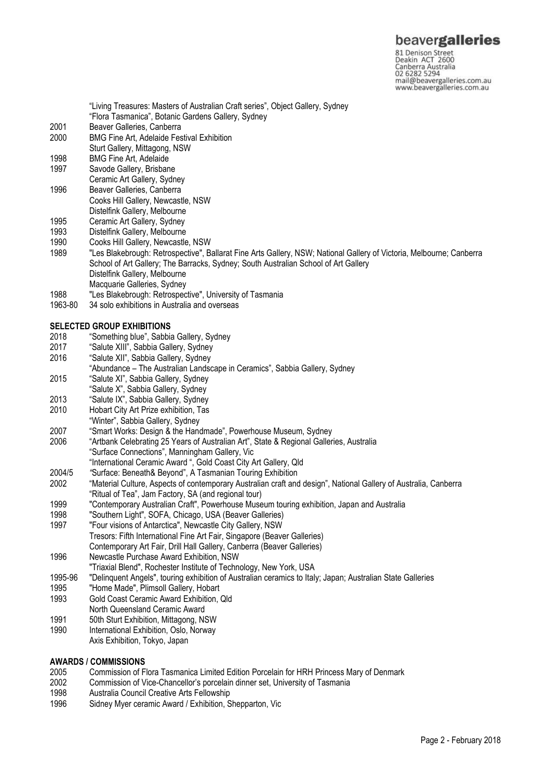81 Denison Street<br>Deakin ACT 2600 Canberra Australia 02 6282 5294 mail@beavergalleries.com.au www.beavergalleries.com.au

"Living Treasures: Masters of Australian Craft series", Object Gallery, Sydney "Flora Tasmanica", Botanic Gardens Gallery, Sydney

- 2001 Beaver Galleries, Canberra<br>2000 BMG Fine Art. Adelaide Fes
- **BMG Fine Art, Adelaide Festival Exhibition**
- Sturt Gallery, Mittagong, NSW
- 1998 BMG Fine Art, Adelaide
- 1997 Savode Gallery, Brisbane
- Ceramic Art Gallery, Sydney 1996 Beaver Galleries, Canberra
- Cooks Hill Gallery, Newcastle, NSW Distelfink Gallery, Melbourne
- 1995 Ceramic Art Gallery, Sydney<br>1993 Distelfink Gallery, Melbourne
- 1993 Distelfink Gallery, Melbourne<br>1990 Cooks Hill Gallery, Newcastle
- 1990 Cooks Hill Gallery, Newcastle, NSW<br>1989 The Blakebrough: Retrospective", B
- 1989 "Les Blakebrough: Retrospective", Ballarat Fine Arts Gallery, NSW; National Gallery of Victoria, Melbourne; Canberra School of Art Gallery; The Barracks, Sydney; South Australian School of Art Gallery Distelfink Gallery, Melbourne Macquarie Galleries, Sydney
- 1988 "Les Blakebrough: Retrospective", University of Tasmania
- 1963-80 34 solo exhibitions in Australia and overseas

#### **SELECTED GROUP EXHIBITIONS**

- 2018 "Something blue", Sabbia Gallery, Sydney
- 2017 "Salute XIII", Sabbia Gallery, Sydney
- 2016 "Salute XII", Sabbia Gallery, Sydney
- "Abundance The Australian Landscape in Ceramics", Sabbia Gallery, Sydney
- 2015 "Salute XI", Sabbia Gallery, Sydney
- "Salute X", Sabbia Gallery, Sydney
- 2013 "Salute IX", Sabbia Gallery, Sydney
- 2010 Hobart City Art Prize exhibition, Tas
- "Winter", Sabbia Gallery, Sydney
- 2007 "Smart Works: Design & the Handmade", Powerhouse Museum, Sydney
- 2006 "Artbank Celebrating 25 Years of Australian Art", State & Regional Galleries, Australia "Surface Connections", Manningham Gallery, Vic
- "International Ceramic Award ", Gold Coast City Art Gallery, Qld
- 2004/5 *"*Surface: Beneath& Beyond", A Tasmanian Touring Exhibition
- 2002 "Material Culture, Aspects of contemporary Australian craft and design", National Gallery of Australia, Canberra "Ritual of Tea", Jam Factory, SA (and regional tour)
- 1999 "Contemporary Australian Craft", Powerhouse Museum touring exhibition, Japan and Australia
- 1998 "Southern Light", SOFA, Chicago, USA (Beaver Galleries)
- 1997 "Four visions of Antarctica", Newcastle City Gallery, NSW Tresors: Fifth International Fine Art Fair, Singapore (Beaver Galleries) Contemporary Art Fair, Drill Hall Gallery, Canberra (Beaver Galleries)
- 1996 Newcastle Purchase Award Exhibition, NSW
- "Triaxial Blend", Rochester Institute of Technology, New York, USA
- 1995-96 "Delinquent Angels", touring exhibition of Australian ceramics to Italy; Japan; Australian State Galleries
- 1995 "Home Made", Plimsoll Gallery, Hobart
- 1993 Gold Coast Ceramic Award Exhibition, Qld
- North Queensland Ceramic Award
- 1991 50th Sturt Exhibition, Mittagong, NSW
- 1990 International Exhibition, Oslo, Norway
	- Axis Exhibition, Tokyo, Japan

#### **AWARDS / COMMISSIONS**

- 2005 Commission of Flora Tasmanica Limited Edition Porcelain for HRH Princess Mary of Denmark
- 2002 Commission of Vice-Chancellor's porcelain dinner set, University of Tasmania
- 1998 Australia Council Creative Arts Fellowship
- 1996 Sidney Myer ceramic Award / Exhibition, Shepparton, Vic